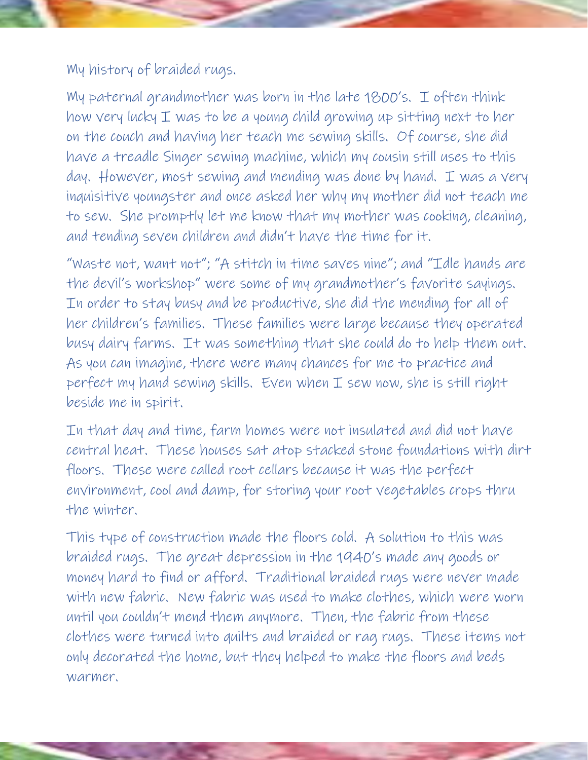My history of braided rugs.

My paternal grandmother was born in the late 1800's. I often think how very lucky I was to be a young child growing up sitting next to her on the couch and having her teach me sewing skills. Of course, she did have a treadle Singer sewing machine, which my cousin still uses to this day. However, most sewing and mending was done by hand. I was a very inquisitive youngster and once asked her why my mother did not teach me to sew. She promptly let me know that my mother was cooking, cleaning, and tending seven children and didn't have the time for it.

"Waste not, want not"; "A stitch in time saves nine"; and "Idle hands are the devil's workshop" were some of my grandmother's favorite sayings. In order to stay busy and be productive, she did the mending for all of her children's families. These families were large because they operated busy dairy farms. It was something that she could do to help them out. As you can imagine, there were many chances for me to practice and perfect my hand sewing skills. Even when I sew now, she is still right beside me in spirit.

In that day and time, farm homes were not insulated and did not have central heat. These houses sat atop stacked stone foundations with dirt floors. These were called root cellars because it was the perfect environment, cool and damp, for storing your root vegetables crops thru the winter.

This type of construction made the floors cold. A solution to this was braided rugs. The great depression in the 1940's made any goods or money hard to find or afford. Traditional braided rugs were never made with new fabric. New fabric was used to make clothes, which were worn until you couldn't mend them anymore. Then, the fabric from these clothes were turned into quilts and braided or rag rugs. These items not only decorated the home, but they helped to make the floors and beds warmer.

Even while these rugs and quilts were made of scraps, they were made